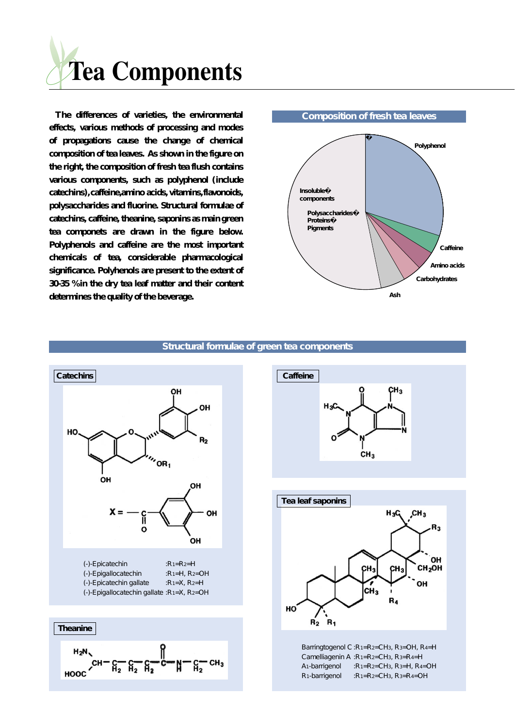

**The differences of varieties, the environmental effects, various methods of processing and modes of propagations cause the change of chemical composition of tea leaves. As shown in the figure on the right, the composition of fresh tea flush contains various components, such as polyphenol (include catechins),caffeine,amino acids, vitamins,flavonoids, polysaccharides and fluorine. Structural formulae of catechins, caffeine, theanine, saponins as main green tea componets are drawn in the figure below. Polyphenols and caffeine are the most important chemicals of tea, considerable pharmacological significance. Polyhenols are present to the extent of 30-35 % in the dry tea leaf matter and their content determines the quality of the beverage.**



**Structural formulae of green tea components**









Barringtogenol C :R1=R2=CH3, R3=OH, R4=H Camelliagenin A :R1=R2=CH3, R3=R4=H A<sub>1</sub>-barrigenol :R<sub>1</sub>=R<sub>2</sub>=CH<sub>3</sub>, R<sub>3</sub>=H, R<sub>4</sub>=OH R1-barrigenol :R1=R2=CH3, R3=R4=OH